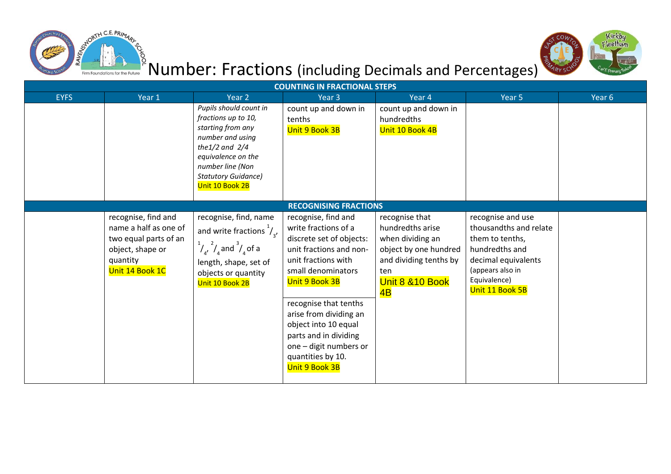



# **E**<br>Produmber: Fractions (including Decimals and Percentages)

| <b>COUNTING IN FRACTIONAL STEPS</b> |                                                                                                                          |                                                                                                                                                                                                          |                                                                                                                                                                                                                                                                                                                                        |                                                                                                                                            |                                                                                                                                                                |        |  |  |
|-------------------------------------|--------------------------------------------------------------------------------------------------------------------------|----------------------------------------------------------------------------------------------------------------------------------------------------------------------------------------------------------|----------------------------------------------------------------------------------------------------------------------------------------------------------------------------------------------------------------------------------------------------------------------------------------------------------------------------------------|--------------------------------------------------------------------------------------------------------------------------------------------|----------------------------------------------------------------------------------------------------------------------------------------------------------------|--------|--|--|
| <b>EYFS</b>                         | Year 1                                                                                                                   | Year <sub>2</sub>                                                                                                                                                                                        | Year <sub>3</sub>                                                                                                                                                                                                                                                                                                                      | Year 4                                                                                                                                     | Year 5                                                                                                                                                         | Year 6 |  |  |
|                                     |                                                                                                                          | Pupils should count in<br>fractions up to 10,<br>starting from any<br>number and using<br>the $1/2$ and $2/4$<br>equivalence on the<br>number line (Non<br><b>Statutory Guidance)</b><br>Unit 10 Book 2B | count up and down in<br>tenths<br>Unit 9 Book 3B                                                                                                                                                                                                                                                                                       | count up and down in<br>hundredths<br>Unit 10 Book 4B                                                                                      |                                                                                                                                                                |        |  |  |
|                                     |                                                                                                                          |                                                                                                                                                                                                          | <b>RECOGNISING FRACTIONS</b>                                                                                                                                                                                                                                                                                                           |                                                                                                                                            |                                                                                                                                                                |        |  |  |
|                                     | recognise, find and<br>name a half as one of<br>two equal parts of an<br>object, shape or<br>quantity<br>Unit 14 Book 1C | recognise, find, name<br>and write fractions $\frac{1}{2}$ ,<br>$\frac{1}{4}$ , $\frac{2}{4}$ and $\frac{3}{4}$ of a<br>length, shape, set of<br>objects or quantity<br>Unit 10 Book 2B                  | recognise, find and<br>write fractions of a<br>discrete set of objects:<br>unit fractions and non-<br>unit fractions with<br>small denominators<br>Unit 9 Book 3B<br>recognise that tenths<br>arise from dividing an<br>object into 10 equal<br>parts and in dividing<br>one - digit numbers or<br>quantities by 10.<br>Unit 9 Book 3B | recognise that<br>hundredths arise<br>when dividing an<br>object by one hundred<br>and dividing tenths by<br>ten<br>Unit 8 & 10 Book<br>4B | recognise and use<br>thousandths and relate<br>them to tenths,<br>hundredths and<br>decimal equivalents<br>(appears also in<br>Equivalence)<br>Unit 11 Book 5B |        |  |  |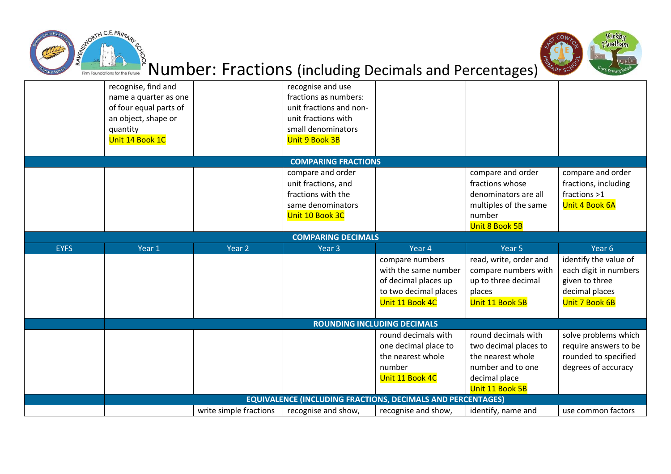



# as<br>Number: Fractions (including Decimals and Percentages)

|             | recognise, find and       |                        | recognise and use                                                  |                                    |                        |                       |  |  |  |
|-------------|---------------------------|------------------------|--------------------------------------------------------------------|------------------------------------|------------------------|-----------------------|--|--|--|
|             | name a quarter as one     |                        | fractions as numbers:                                              |                                    |                        |                       |  |  |  |
|             | of four equal parts of    |                        | unit fractions and non-                                            |                                    |                        |                       |  |  |  |
|             | an object, shape or       |                        | unit fractions with                                                |                                    |                        |                       |  |  |  |
|             | quantity                  |                        | small denominators                                                 |                                    |                        |                       |  |  |  |
|             | Unit 14 Book 1C           |                        | Unit 9 Book 3B                                                     |                                    |                        |                       |  |  |  |
|             |                           |                        |                                                                    |                                    |                        |                       |  |  |  |
|             |                           |                        | <b>COMPARING FRACTIONS</b>                                         |                                    |                        |                       |  |  |  |
|             |                           |                        | compare and order                                                  |                                    | compare and order      | compare and order     |  |  |  |
|             |                           |                        | unit fractions, and                                                |                                    | fractions whose        | fractions, including  |  |  |  |
|             |                           |                        | fractions with the                                                 |                                    | denominators are all   | fractions >1          |  |  |  |
|             |                           |                        | same denominators                                                  |                                    | multiples of the same  | Unit 4 Book 6A        |  |  |  |
|             |                           |                        | Unit 10 Book 3C                                                    |                                    | number                 |                       |  |  |  |
|             |                           |                        |                                                                    |                                    | Unit 8 Book 5B         |                       |  |  |  |
|             | <b>COMPARING DECIMALS</b> |                        |                                                                    |                                    |                        |                       |  |  |  |
| <b>EYFS</b> | Year 1                    | Year <sub>2</sub>      | Year <sub>3</sub>                                                  | Year 4                             | Year 5                 | Year 6                |  |  |  |
|             |                           |                        |                                                                    | compare numbers                    | read, write, order and | identify the value of |  |  |  |
|             |                           |                        |                                                                    | with the same number               | compare numbers with   | each digit in numbers |  |  |  |
|             |                           |                        |                                                                    | of decimal places up               | up to three decimal    | given to three        |  |  |  |
|             |                           |                        |                                                                    | to two decimal places              | places                 | decimal places        |  |  |  |
|             |                           |                        |                                                                    | Unit 11 Book 4C                    | Unit 11 Book 5B        | Unit 7 Book 6B        |  |  |  |
|             |                           |                        |                                                                    |                                    |                        |                       |  |  |  |
|             |                           |                        |                                                                    | <b>ROUNDING INCLUDING DECIMALS</b> |                        |                       |  |  |  |
|             |                           |                        |                                                                    | round decimals with                | round decimals with    | solve problems which  |  |  |  |
|             |                           |                        |                                                                    | one decimal place to               | two decimal places to  | require answers to be |  |  |  |
|             |                           |                        |                                                                    | the nearest whole                  | the nearest whole      | rounded to specified  |  |  |  |
|             |                           |                        |                                                                    | number                             | number and to one      | degrees of accuracy   |  |  |  |
|             |                           |                        |                                                                    | Unit 11 Book 4C                    | decimal place          |                       |  |  |  |
|             |                           |                        |                                                                    |                                    | Unit 11 Book 5B        |                       |  |  |  |
|             |                           |                        | <b>EQUIVALENCE (INCLUDING FRACTIONS, DECIMALS AND PERCENTAGES)</b> |                                    |                        |                       |  |  |  |
|             |                           | write simple fractions | recognise and show,                                                | recognise and show,                | identify, name and     | use common factors    |  |  |  |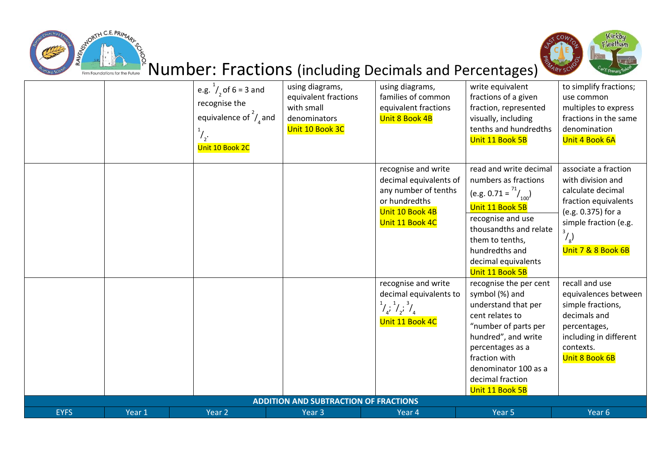



# ts<br>Number: Fractions (including Decimals and Percentages)

|             |        | e.g. $^{1}/_{2}$ of 6 = 3 and<br>recognise the<br>equivalence of $\frac{2}{3}$ and<br>Unit 10 Book 2C | using diagrams,<br>equivalent fractions<br>with small<br>denominators<br>Unit 10 Book 3C | using diagrams,<br>families of common<br>equivalent fractions<br>Unit 8 Book 4B                                              | write equivalent<br>fractions of a given<br>fraction, represented<br>visually, including<br>tenths and hundredths<br>Unit 11 Book 5B                                                                                                  | to simplify fractions;<br>use common<br>multiples to express<br>fractions in the same<br>denomination<br>Unit 4 Book 6A                                                              |
|-------------|--------|-------------------------------------------------------------------------------------------------------|------------------------------------------------------------------------------------------|------------------------------------------------------------------------------------------------------------------------------|---------------------------------------------------------------------------------------------------------------------------------------------------------------------------------------------------------------------------------------|--------------------------------------------------------------------------------------------------------------------------------------------------------------------------------------|
|             |        |                                                                                                       |                                                                                          | recognise and write<br>decimal equivalents of<br>any number of tenths<br>or hundredths<br>Unit 10 Book 4B<br>Unit 11 Book 4C | read and write decimal<br>numbers as fractions<br>(e.g. 0.71 = $\binom{71}{100}$<br>Unit 11 Book 5B<br>recognise and use<br>thousandths and relate<br>them to tenths,<br>hundredths and<br>decimal equivalents<br>Unit 11 Book 5B     | associate a fraction<br>with division and<br>calculate decimal<br>fraction equivalents<br>(e.g. 0.375) for a<br>simple fraction (e.g.<br>$\mathcal{L}_{\rm g}$<br>Unit 7 & 8 Book 6B |
|             |        |                                                                                                       |                                                                                          | recognise and write<br>decimal equivalents to<br>$\frac{1}{4}$ , $\frac{1}{2}$ , $\frac{3}{4}$<br>Unit 11 Book 4C            | recognise the per cent<br>symbol (%) and<br>understand that per<br>cent relates to<br>"number of parts per<br>hundred", and write<br>percentages as a<br>fraction with<br>denominator 100 as a<br>decimal fraction<br>Unit 11 Book 5B | recall and use<br>equivalences between<br>simple fractions,<br>decimals and<br>percentages,<br>including in different<br>contexts.<br>Unit 8 Book 6B                                 |
| <b>EYFS</b> | Year 1 | Year 2                                                                                                | <b>ADDITION AND SUBTRACTION OF FRACTIONS</b><br>Year 3                                   | Year 4                                                                                                                       | Year 5                                                                                                                                                                                                                                | Year <sub>6</sub>                                                                                                                                                                    |
|             |        |                                                                                                       |                                                                                          |                                                                                                                              |                                                                                                                                                                                                                                       |                                                                                                                                                                                      |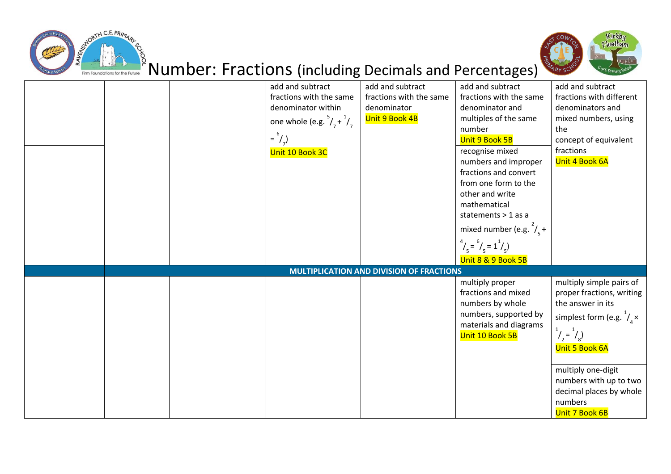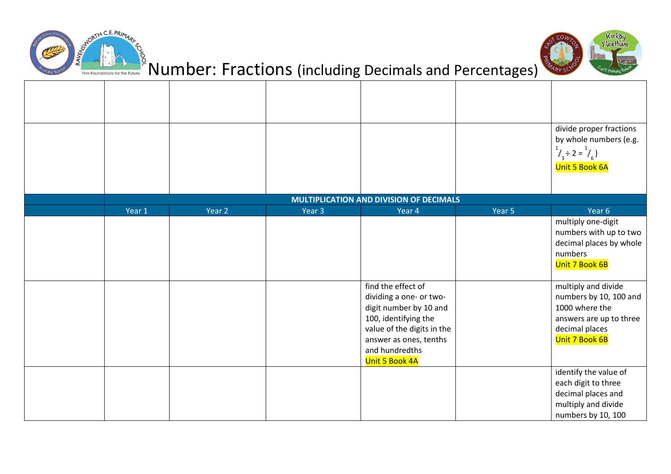



#### is<br>Number: Fractions (including Decimals and Percentages)

|        |        |        |                                                                                                                                                                                             |        | divide proper fractions                                                                                                        |
|--------|--------|--------|---------------------------------------------------------------------------------------------------------------------------------------------------------------------------------------------|--------|--------------------------------------------------------------------------------------------------------------------------------|
|        |        |        |                                                                                                                                                                                             |        | by whole numbers (e.g.<br>$1/3$ ÷ 2 = $1/6$ )<br>Unit 5 Book 6A                                                                |
|        |        |        | <b>MULTIPLICATION AND DIVISION OF DECIMALS</b>                                                                                                                                              |        |                                                                                                                                |
| Year 1 | Year 2 | Year 3 | Year 4                                                                                                                                                                                      | Year 5 | Year 6                                                                                                                         |
|        |        |        |                                                                                                                                                                                             |        | multiply one-digit<br>numbers with up to two<br>decimal places by whole<br>numbers<br>Unit 7 Book 6B                           |
|        |        |        | find the effect of<br>dividing a one- or two-<br>digit number by 10 and<br>100, identifying the<br>value of the digits in the<br>answer as ones, tenths<br>and hundredths<br>Unit 5 Book 4A |        | multiply and divide<br>numbers by 10, 100 and<br>1000 where the<br>answers are up to three<br>decimal places<br>Unit 7 Book 6B |
|        |        |        |                                                                                                                                                                                             |        | identify the value of<br>each digit to three<br>decimal places and<br>multiply and divide<br>numbers by 10, 100                |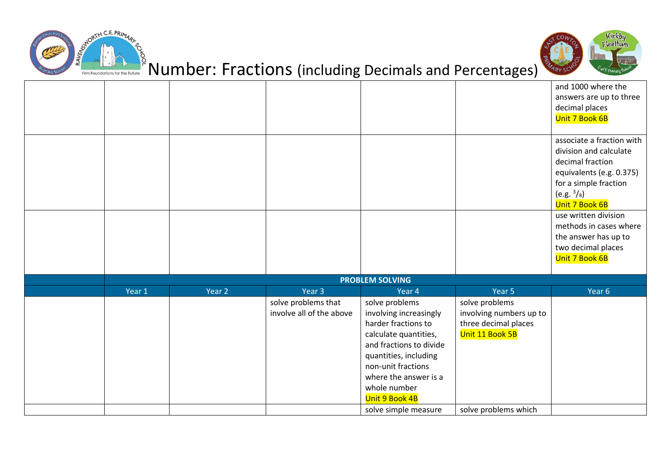



# as<br>Number: Fractions (including Decimals and Percentages)

|        |        |                                                 |                                                                                                                                                                                                                                                       |                                                                                                              | and 1000 where the<br>answers are up to three<br>decimal places<br>Unit 7 Book 6B                                                                                                                                                                                              |
|--------|--------|-------------------------------------------------|-------------------------------------------------------------------------------------------------------------------------------------------------------------------------------------------------------------------------------------------------------|--------------------------------------------------------------------------------------------------------------|--------------------------------------------------------------------------------------------------------------------------------------------------------------------------------------------------------------------------------------------------------------------------------|
|        |        |                                                 |                                                                                                                                                                                                                                                       |                                                                                                              | associate a fraction with<br>division and calculate<br>decimal fraction<br>equivalents (e.g. 0.375)<br>for a simple fraction<br>(e.g. 3/8)<br>Unit 7 Book 6B<br>use written division<br>methods in cases where<br>the answer has up to<br>two decimal places<br>Unit 7 Book 6B |
|        |        |                                                 |                                                                                                                                                                                                                                                       |                                                                                                              |                                                                                                                                                                                                                                                                                |
|        |        |                                                 | <b>PROBLEM SOLVING</b>                                                                                                                                                                                                                                |                                                                                                              |                                                                                                                                                                                                                                                                                |
| Year 1 | Year 2 | Year 3                                          | Year 4                                                                                                                                                                                                                                                | Year 5                                                                                                       | Year 6                                                                                                                                                                                                                                                                         |
|        |        | solve problems that<br>involve all of the above | solve problems<br>involving increasingly<br>harder fractions to<br>calculate quantities,<br>and fractions to divide<br>quantities, including<br>non-unit fractions<br>where the answer is a<br>whole number<br>Unit 9 Book 4B<br>solve simple measure | solve problems<br>involving numbers up to<br>three decimal places<br>Unit 11 Book 5B<br>solve problems which |                                                                                                                                                                                                                                                                                |